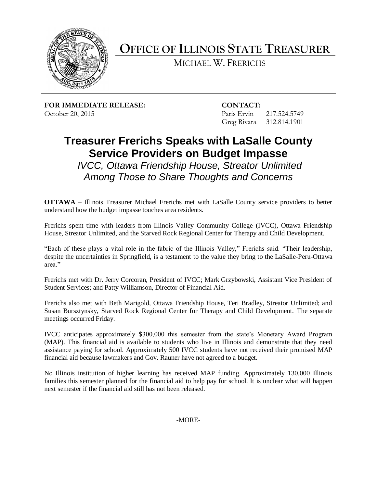

**OFFICE OF ILLINOIS STATE TREASURER**

MICHAEL W. FRERICHS

**FOR IMMEDIATE RELEASE: CONTACT:** October 20, 2015 Paris Ervin 217.524.5749

Greg Rivara 312.814.1901

## **Treasurer Frerichs Speaks with LaSalle County Service Providers on Budget Impasse**

*IVCC, Ottawa Friendship House, Streator Unlimited Among Those to Share Thoughts and Concerns*

**OTTAWA** – Illinois Treasurer Michael Frerichs met with LaSalle County service providers to better understand how the budget impasse touches area residents.

Frerichs spent time with leaders from Illinois Valley Community College (IVCC), Ottawa Friendship House, Streator Unlimited, and the Starved Rock Regional Center for Therapy and Child Development.

"Each of these plays a vital role in the fabric of the Illinois Valley," Frerichs said. "Their leadership, despite the uncertainties in Springfield, is a testament to the value they bring to the LaSalle-Peru-Ottawa area."

Frerichs met with Dr. Jerry Corcoran, President of IVCC; Mark Grzybowski, Assistant Vice President of Student Services; and Patty Williamson, Director of Financial Aid.

Frerichs also met with Beth Marigold, Ottawa Friendship House, Teri Bradley, Streator Unlimited; and Susan Bursztynsky, Starved Rock Regional Center for Therapy and Child Development. The separate meetings occurred Friday.

IVCC anticipates approximately \$300,000 this semester from the state's Monetary Award Program (MAP). This financial aid is available to students who live in Illinois and demonstrate that they need assistance paying for school. Approximately 500 IVCC students have not received their promised MAP financial aid because lawmakers and Gov. Rauner have not agreed to a budget.

No Illinois institution of higher learning has received MAP funding. Approximately 130,000 Illinois families this semester planned for the financial aid to help pay for school. It is unclear what will happen next semester if the financial aid still has not been released.

-MORE-